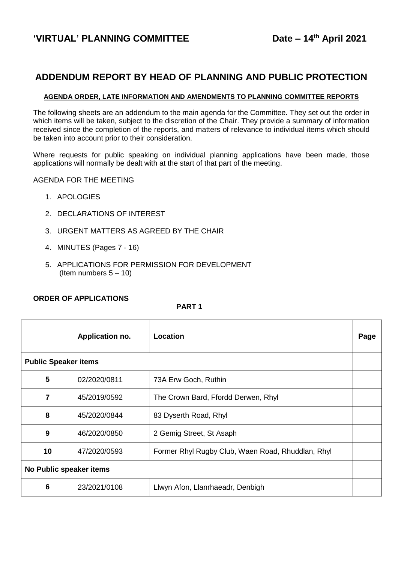# **ADDENDUM REPORT BY HEAD OF PLANNING AND PUBLIC PROTECTION**

#### **AGENDA ORDER, LATE INFORMATION AND AMENDMENTS TO PLANNING COMMITTEE REPORTS**

The following sheets are an addendum to the main agenda for the Committee. They set out the order in which items will be taken, subject to the discretion of the Chair. They provide a summary of information received since the completion of the reports, and matters of relevance to individual items which should be taken into account prior to their consideration.

Where requests for public speaking on individual planning applications have been made, those applications will normally be dealt with at the start of that part of the meeting.

AGENDA FOR THE MEETING

- 1. APOLOGIES
- 2. DECLARATIONS OF INTEREST
- 3. URGENT MATTERS AS AGREED BY THE CHAIR
- 4. MINUTES (Pages 7 16)
- 5. APPLICATIONS FOR PERMISSION FOR DEVELOPMENT (Item numbers  $5 - 10$ )

#### **ORDER OF APPLICATIONS**

#### **PART 1**

|                             | Application no. | Location                                          | Page |
|-----------------------------|-----------------|---------------------------------------------------|------|
| <b>Public Speaker items</b> |                 |                                                   |      |
| 5                           | 02/2020/0811    | 73A Erw Goch, Ruthin                              |      |
| 7                           | 45/2019/0592    | The Crown Bard, Ffordd Derwen, Rhyl               |      |
| 8                           | 45/2020/0844    | 83 Dyserth Road, Rhyl                             |      |
| 9                           | 46/2020/0850    | 2 Gemig Street, St Asaph                          |      |
| 10                          | 47/2020/0593    | Former Rhyl Rugby Club, Waen Road, Rhuddlan, Rhyl |      |
| No Public speaker items     |                 |                                                   |      |
| 6                           | 23/2021/0108    | Llwyn Afon, Llanrhaeadr, Denbigh                  |      |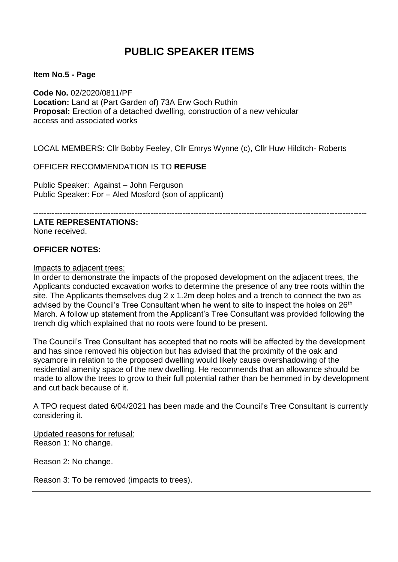# **PUBLIC SPEAKER ITEMS**

**Item No.5 - Page** 

**Code No.** 02/2020/0811/PF **Location:** Land at (Part Garden of) 73A Erw Goch Ruthin **Proposal:** Erection of a detached dwelling, construction of a new vehicular access and associated works

LOCAL MEMBERS: Cllr Bobby Feeley, Cllr Emrys Wynne (c), Cllr Huw Hilditch- Roberts

OFFICER RECOMMENDATION IS TO **REFUSE**

Public Speaker: Against – John Ferguson Public Speaker: For – Aled Mosford (son of applicant)

-----------------------------------------------------------------------------------------------------------------------------

**LATE REPRESENTATIONS:**

None received.

## **OFFICER NOTES:**

Impacts to adjacent trees:

In order to demonstrate the impacts of the proposed development on the adjacent trees, the Applicants conducted excavation works to determine the presence of any tree roots within the site. The Applicants themselves dug 2 x 1.2m deep holes and a trench to connect the two as advised by the Council's Tree Consultant when he went to site to inspect the holes on 26<sup>th</sup> March. A follow up statement from the Applicant's Tree Consultant was provided following the trench dig which explained that no roots were found to be present.

The Council's Tree Consultant has accepted that no roots will be affected by the development and has since removed his objection but has advised that the proximity of the oak and sycamore in relation to the proposed dwelling would likely cause overshadowing of the residential amenity space of the new dwelling. He recommends that an allowance should be made to allow the trees to grow to their full potential rather than be hemmed in by development and cut back because of it.

A TPO request dated 6/04/2021 has been made and the Council's Tree Consultant is currently considering it.

Updated reasons for refusal: Reason 1: No change.

Reason 2: No change.

Reason 3: To be removed (impacts to trees).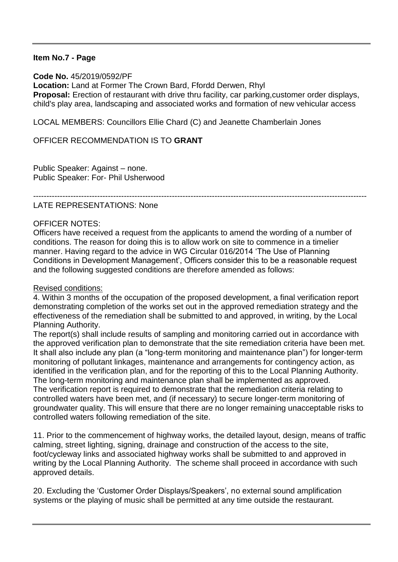## **Item No.7 - Page**

**Code No.** 45/2019/0592/PF **Location:** Land at Former The Crown Bard, Ffordd Derwen, Rhyl **Proposal:** Erection of restaurant with drive thru facility, car parking,customer order displays, child's play area, landscaping and associated works and formation of new vehicular access

LOCAL MEMBERS: Councillors Ellie Chard (C) and Jeanette Chamberlain Jones

OFFICER RECOMMENDATION IS TO **GRANT**

Public Speaker: Against – none. Public Speaker: For- Phil Usherwood

-----------------------------------------------------------------------------------------------------------------------------

## LATE REPRESENTATIONS: None

## OFFICER NOTES:

Officers have received a request from the applicants to amend the wording of a number of conditions. The reason for doing this is to allow work on site to commence in a timelier manner. Having regard to the advice in WG Circular 016/2014 'The Use of Planning Conditions in Development Management', Officers consider this to be a reasonable request and the following suggested conditions are therefore amended as follows:

## Revised conditions:

4. Within 3 months of the occupation of the proposed development, a final verification report demonstrating completion of the works set out in the approved remediation strategy and the effectiveness of the remediation shall be submitted to and approved, in writing, by the Local Planning Authority.

The report(s) shall include results of sampling and monitoring carried out in accordance with the approved verification plan to demonstrate that the site remediation criteria have been met. It shall also include any plan (a "long-term monitoring and maintenance plan") for longer-term monitoring of pollutant linkages, maintenance and arrangements for contingency action, as identified in the verification plan, and for the reporting of this to the Local Planning Authority. The long-term monitoring and maintenance plan shall be implemented as approved. The verification report is required to demonstrate that the remediation criteria relating to controlled waters have been met, and (if necessary) to secure longer-term monitoring of groundwater quality. This will ensure that there are no longer remaining unacceptable risks to controlled waters following remediation of the site.

11. Prior to the commencement of highway works, the detailed layout, design, means of traffic calming, street lighting, signing, drainage and construction of the access to the site, foot/cycleway links and associated highway works shall be submitted to and approved in writing by the Local Planning Authority. The scheme shall proceed in accordance with such approved details.

20. Excluding the 'Customer Order Displays/Speakers', no external sound amplification systems or the playing of music shall be permitted at any time outside the restaurant.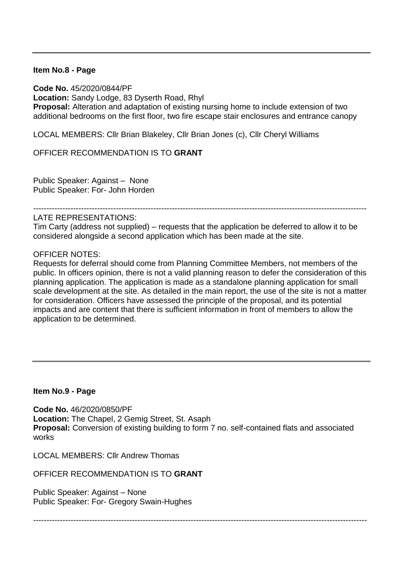#### **Item No.8 - Page**

**Code No.** 45/2020/0844/PF **Location:** Sandy Lodge, 83 Dyserth Road, Rhyl **Proposal:** Alteration and adaptation of existing nursing home to include extension of two additional bedrooms on the first floor, two fire escape stair enclosures and entrance canopy

LOCAL MEMBERS: Cllr Brian Blakeley, Cllr Brian Jones (c), Cllr Cheryl Williams

OFFICER RECOMMENDATION IS TO **GRANT**

Public Speaker: Against – None Public Speaker: For- John Horden

-----------------------------------------------------------------------------------------------------------------------------

#### LATE REPRESENTATIONS:

Tim Carty (address not supplied) – requests that the application be deferred to allow it to be considered alongside a second application which has been made at the site.

#### OFFICER NOTES:

Requests for deferral should come from Planning Committee Members, not members of the public. In officers opinion, there is not a valid planning reason to defer the consideration of this planning application. The application is made as a standalone planning application for small scale development at the site. As detailed in the main report, the use of the site is not a matter for consideration. Officers have assessed the principle of the proposal, and its potential impacts and are content that there is sufficient information in front of members to allow the application to be determined.

## **Item No.9 - Page**

**Code No.** 46/2020/0850/PF **Location:** The Chapel, 2 Gemig Street, St. Asaph **Proposal:** Conversion of existing building to form 7 no. self-contained flats and associated works

LOCAL MEMBERS: Cllr Andrew Thomas

OFFICER RECOMMENDATION IS TO **GRANT**

Public Speaker: Against – None Public Speaker: For- Gregory Swain-Hughes

-----------------------------------------------------------------------------------------------------------------------------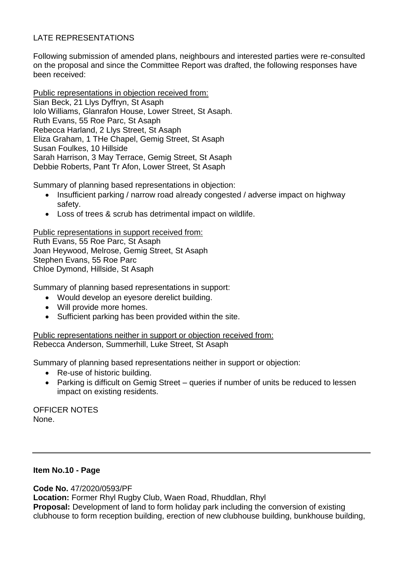## LATE REPRESENTATIONS

Following submission of amended plans, neighbours and interested parties were re-consulted on the proposal and since the Committee Report was drafted, the following responses have been received:

Public representations in objection received from: Sian Beck, 21 Llys Dyffryn, St Asaph Iolo Williams, Glanrafon House, Lower Street, St Asaph. Ruth Evans, 55 Roe Parc, St Asaph Rebecca Harland, 2 Llys Street, St Asaph Eliza Graham, 1 THe Chapel, Gemig Street, St Asaph Susan Foulkes, 10 Hillside Sarah Harrison, 3 May Terrace, Gemig Street, St Asaph Debbie Roberts, Pant Tr Afon, Lower Street, St Asaph

Summary of planning based representations in objection:

- Insufficient parking / narrow road already congested / adverse impact on highway safety.
- Loss of trees & scrub has detrimental impact on wildlife.

Public representations in support received from: Ruth Evans, 55 Roe Parc, St Asaph Joan Heywood, Melrose, Gemig Street, St Asaph Stephen Evans, 55 Roe Parc Chloe Dymond, Hillside, St Asaph

Summary of planning based representations in support:

- Would develop an eyesore derelict building.
- Will provide more homes.
- Sufficient parking has been provided within the site.

Public representations neither in support or objection received from: Rebecca Anderson, Summerhill, Luke Street, St Asaph

Summary of planning based representations neither in support or objection:

- Re-use of historic building.
- Parking is difficult on Gemig Street queries if number of units be reduced to lessen impact on existing residents.

OFFICER NOTES None.

## **Item No.10 - Page**

**Code No.** 47/2020/0593/PF **Location:** Former Rhyl Rugby Club, Waen Road, Rhuddlan, Rhyl **Proposal:** Development of land to form holiday park including the conversion of existing clubhouse to form reception building, erection of new clubhouse building, bunkhouse building,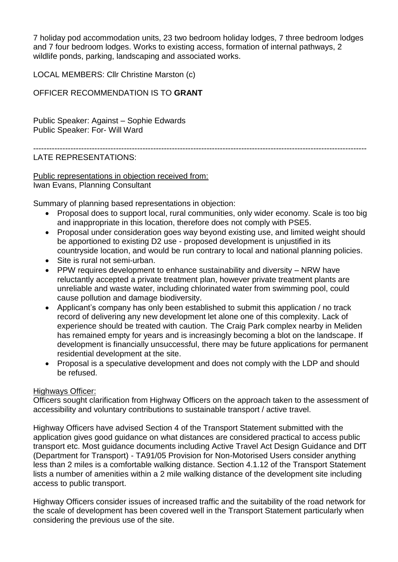7 holiday pod accommodation units, 23 two bedroom holiday lodges, 7 three bedroom lodges and 7 four bedroom lodges. Works to existing access, formation of internal pathways, 2 wildlife ponds, parking, landscaping and associated works.

LOCAL MEMBERS: Cllr Christine Marston (c)

OFFICER RECOMMENDATION IS TO **GRANT**

Public Speaker: Against – Sophie Edwards Public Speaker: For- Will Ward

## -----------------------------------------------------------------------------------------------------------------------------

## LATE REPRESENTATIONS:

Public representations in objection received from: Iwan Evans, Planning Consultant

Summary of planning based representations in objection:

- Proposal does to support local, rural communities, only wider economy. Scale is too big and inappropriate in this location, therefore does not comply with PSE5.
- Proposal under consideration goes way beyond existing use, and limited weight should be apportioned to existing D2 use - proposed development is unjustified in its countryside location, and would be run contrary to local and national planning policies.
- Site is rural not semi-urban.
- PPW requires development to enhance sustainability and diversity NRW have reluctantly accepted a private treatment plan, however private treatment plants are unreliable and waste water, including chlorinated water from swimming pool, could cause pollution and damage biodiversity.
- Applicant's company has only been established to submit this application / no track record of delivering any new development let alone one of this complexity. Lack of experience should be treated with caution. The Craig Park complex nearby in Meliden has remained empty for years and is increasingly becoming a blot on the landscape. If development is financially unsuccessful, there may be future applications for permanent residential development at the site.
- Proposal is a speculative development and does not comply with the LDP and should be refused.

## Highways Officer:

Officers sought clarification from Highway Officers on the approach taken to the assessment of accessibility and voluntary contributions to sustainable transport / active travel.

Highway Officers have advised Section 4 of the Transport Statement submitted with the application gives good guidance on what distances are considered practical to access public transport etc. Most guidance documents including Active Travel Act Design Guidance and DfT (Department for Transport) - TA91/05 Provision for Non-Motorised Users consider anything less than 2 miles is a comfortable walking distance. Section 4.1.12 of the Transport Statement lists a number of amenities within a 2 mile walking distance of the development site including access to public transport.

Highway Officers consider issues of increased traffic and the suitability of the road network for the scale of development has been covered well in the Transport Statement particularly when considering the previous use of the site.